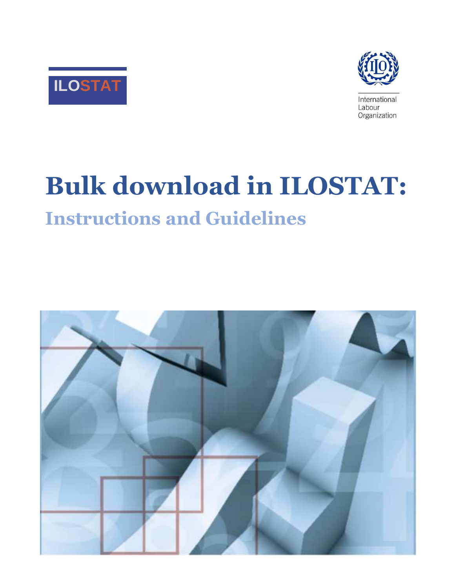



International Labour Organization

# **Bulk download in ILOSTAT:**

# **Instructions and Guidelines**

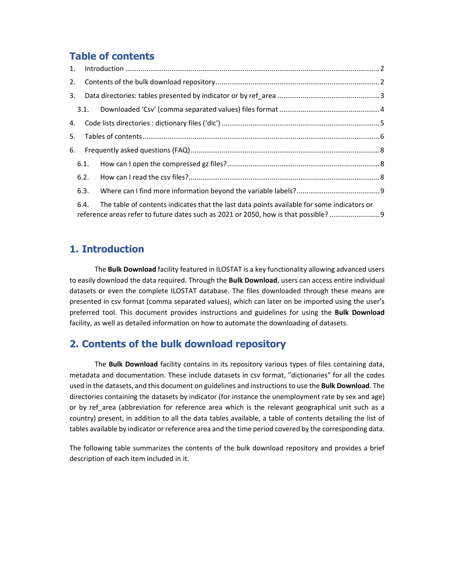# **Table of contents**

| 5. |      |                                                                                                                                                                                 |  |
|----|------|---------------------------------------------------------------------------------------------------------------------------------------------------------------------------------|--|
|    | 6.   |                                                                                                                                                                                 |  |
|    | 6.1. |                                                                                                                                                                                 |  |
|    | 6.2. |                                                                                                                                                                                 |  |
|    | 6.3. |                                                                                                                                                                                 |  |
|    | 6.4. | The table of contents indicates that the last data points available for some indicators or<br>reference areas refer to future dates such as 2021 or 2050, how is that possible? |  |

# **1. Introduction**

 The **Bulk Download** facility featured in ILOSTAT is a key functionality allowing advanced users to easily download the data required. Through the **Bulk Download**, users can access entire individual datasets or even the complete ILOSTAT database. The files downloaded through these means are presented in csv format (comma separated values), which can later on be imported using the user's preferred tool. This document provides instructions and guidelines for using the **Bulk Download** facility, as well as detailed information on how to automate the downloading of datasets.

# **2. Contents of the bulk download repository**

 The **Bulk Download** facility contains in its repository various types of files containing data, metadata and documentation. These include datasets in csv format, "dictionaries" for all the codes used in the datasets, and this document on guidelines and instructions to use the **Bulk Download**. The directories containing the datasets by indicator (for instance the unemployment rate by sex and age) or by ref\_area (abbreviation for reference area which is the relevant geographical unit such as a country) present, in addition to all the data tables available, a table of contents detailing the list of tables available by indicator or reference area and the time period covered by the corresponding data.

The following table summarizes the contents of the bulk download repository and provides a brief description of each item included in it.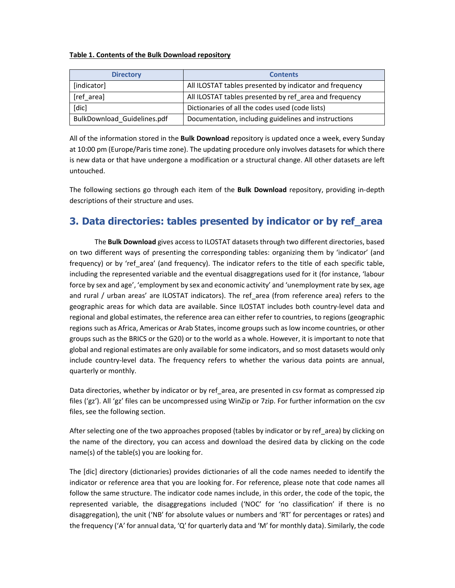#### **Table 1. Contents of the Bulk Download repository**

| <b>Directory</b>            | <b>Contents</b>                                         |
|-----------------------------|---------------------------------------------------------|
| [indicator]                 | All ILOSTAT tables presented by indicator and frequency |
| [ref area]                  | All ILOSTAT tables presented by ref area and frequency  |
| [dic]                       | Dictionaries of all the codes used (code lists)         |
| BulkDownload Guidelines.pdf | Documentation, including guidelines and instructions    |

All of the information stored in the **Bulk Download** repository is updated once a week, every Sunday at 10:00 pm (Europe/Paris time zone). The updating procedure only involves datasets for which there is new data or that have undergone a modification or a structural change. All other datasets are left untouched.

The following sections go through each item of the **Bulk Download** repository, providing in-depth descriptions of their structure and uses.

# **3. Data directories: tables presented by indicator or by ref\_area**

 The **Bulk Download** gives access to ILOSTAT datasets through two different directories, based on two different ways of presenting the corresponding tables: organizing them by 'indicator' (and frequency) or by 'ref area' (and frequency). The indicator refers to the title of each specific table, including the represented variable and the eventual disaggregations used for it (for instance, 'labour force by sex and age', 'employment by sex and economic activity' and 'unemployment rate by sex, age and rural / urban areas' are ILOSTAT indicators). The ref\_area (from reference area) refers to the geographic areas for which data are available. Since ILOSTAT includes both country-level data and regional and global estimates, the reference area can either refer to countries, to regions (geographic regions such as Africa, Americas or Arab States, income groups such as low income countries, or other groups such as the BRICS or the G20) or to the world as a whole. However, it is important to note that global and regional estimates are only available for some indicators, and so most datasets would only include country-level data. The frequency refers to whether the various data points are annual, quarterly or monthly.

Data directories, whether by indicator or by ref area, are presented in csv format as compressed zip files ('gz'). All 'gz' files can be uncompressed using WinZip or 7zip. For further information on the csv files, see the following section.

After selecting one of the two approaches proposed (tables by indicator or by ref\_area) by clicking on the name of the directory, you can access and download the desired data by clicking on the code name(s) of the table(s) you are looking for.

The [dic] directory (dictionaries) provides dictionaries of all the code names needed to identify the indicator or reference area that you are looking for. For reference, please note that code names all follow the same structure. The indicator code names include, in this order, the code of the topic, the represented variable, the disaggregations included ('NOC' for 'no classification' if there is no disaggregation), the unit ('NB' for absolute values or numbers and 'RT' for percentages or rates) and the frequency ('A' for annual data, 'Q' for quarterly data and 'M' for monthly data). Similarly, the code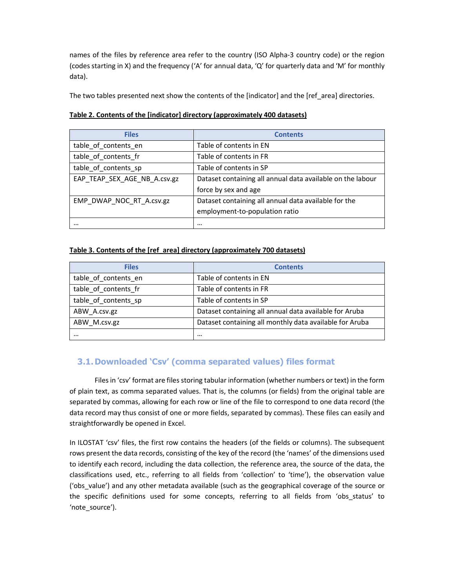names of the files by reference area refer to the country (ISO Alpha-3 country code) or the region (codes starting in X) and the frequency ('A' for annual data, 'Q' for quarterly data and 'M' for monthly data).

The two tables presented next show the contents of the [indicator] and the [ref\_area] directories.

| <b>Files</b>                 | <b>Contents</b>                                            |
|------------------------------|------------------------------------------------------------|
| table of contents en         | Table of contents in EN                                    |
| table of contents fr         | Table of contents in FR                                    |
| table of contents sp         | Table of contents in SP                                    |
| EAP_TEAP_SEX_AGE_NB_A.csv.gz | Dataset containing all annual data available on the labour |
|                              | force by sex and age                                       |
| EMP DWAP NOC RT A.csv.gz     | Dataset containing all annual data available for the       |
|                              | employment-to-population ratio                             |
|                              | $\cdots$                                                   |

#### **Table 2. Contents of the [indicator] directory (approximately 400 datasets)**

#### **Table 3. Contents of the [ref\_area] directory (approximately 700 datasets)**

| <b>Files</b>         | <b>Contents</b>                                         |
|----------------------|---------------------------------------------------------|
| table of contents en | Table of contents in EN                                 |
| table of contents fr | Table of contents in FR                                 |
| table of contents sp | Table of contents in SP                                 |
| ABW A.csv.gz         | Dataset containing all annual data available for Aruba  |
| ABW M.csv.gz         | Dataset containing all monthly data available for Aruba |
| $\cdots$             |                                                         |

# **3.1.Downloaded 'Csv' (comma separated values) files format**

 Files in 'csv' format are files storing tabular information (whether numbers or text) in the form of plain text, as comma separated values. That is, the columns (or fields) from the original table are separated by commas, allowing for each row or line of the file to correspond to one data record (the data record may thus consist of one or more fields, separated by commas). These files can easily and straightforwardly be opened in Excel.

In ILOSTAT 'csv' files, the first row contains the headers (of the fields or columns). The subsequent rows present the data records, consisting of the key of the record (the 'names' of the dimensions used to identify each record, including the data collection, the reference area, the source of the data, the classifications used, etc., referring to all fields from 'collection' to 'time'), the observation value ('obs\_value') and any other metadata available (such as the geographical coverage of the source or the specific definitions used for some concepts, referring to all fields from 'obs\_status' to 'note\_source').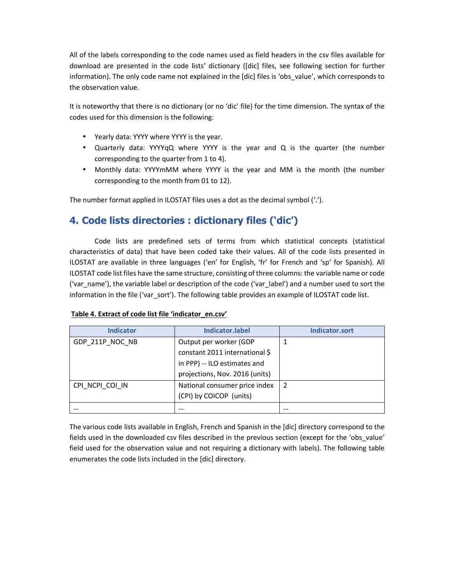All of the labels corresponding to the code names used as field headers in the csv files available for download are presented in the code lists' dictionary ([dic] files, see following section for further information). The only code name not explained in the [dic] files is 'obs\_value', which corresponds to the observation value.

It is noteworthy that there is no dictionary (or no 'dic' file) for the time dimension. The syntax of the codes used for this dimension is the following:

- Yearly data: YYYY where YYYY is the year.
- Quarterly data: YYYYqQ where YYYY is the year and Q is the quarter (the number corresponding to the quarter from 1 to 4).
- Monthly data: YYYYmMM where YYYY is the year and MM is the month (the number corresponding to the month from 01 to 12).

The number format applied in ILOSTAT files uses a dot as the decimal symbol ('.').

# **4. Code lists directories : dictionary files ('dic')**

… … …

 Code lists are predefined sets of terms from which statistical concepts (statistical characteristics of data) that have been coded take their values. All of the code lists presented in ILOSTAT are available in three languages ('en' for English, 'fr' for French and 'sp' for Spanish). All ILOSTAT code list files have the same structure, consisting of three columns: the variable name or code ('var\_name'), the variable label or description of the code ('var\_label') and a number used to sort the information in the file ('var\_sort'). The following table provides an example of ILOSTAT code list.

| Table 4. EXTRACT OF COUP HIS THE THUICALOF CHILSY |                                |                |  |
|---------------------------------------------------|--------------------------------|----------------|--|
| <b>Indicator</b>                                  | Indicator.label                | Indicator.sort |  |
| GDP_211P_NOC_NB                                   | Output per worker (GDP         |                |  |
|                                                   | constant 2011 international \$ |                |  |
|                                                   | in PPP) -- ILO estimates and   |                |  |
|                                                   | projections, Nov. 2016 (units) |                |  |
| CPI NCPI COI IN                                   | National consumer price index  |                |  |
|                                                   | (CPI) by COICOP (units)        |                |  |

#### **Table 4. Extract of code list file 'indicator\_en.csv'**

The various code lists available in English, French and Spanish in the [dic] directory correspond to the fields used in the downloaded csv files described in the previous section (except for the 'obs\_value' field used for the observation value and not requiring a dictionary with labels). The following table enumerates the code lists included in the [dic] directory.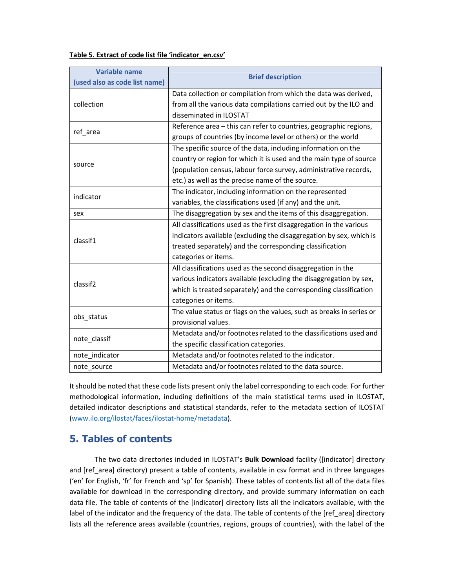#### **Table 5. Extract of code list file 'indicator\_en.csv'**

| <b>Variable name</b><br>(used also as code list name) | <b>Brief description</b>                                                                                                          |
|-------------------------------------------------------|-----------------------------------------------------------------------------------------------------------------------------------|
|                                                       | Data collection or compilation from which the data was derived,                                                                   |
| collection                                            | from all the various data compilations carried out by the ILO and<br>disseminated in ILOSTAT                                      |
| ref_area                                              | Reference area - this can refer to countries, geographic regions,<br>groups of countries (by income level or others) or the world |
|                                                       | The specific source of the data, including information on the                                                                     |
|                                                       | country or region for which it is used and the main type of source                                                                |
| source                                                | (population census, labour force survey, administrative records,                                                                  |
|                                                       | etc.) as well as the precise name of the source.                                                                                  |
|                                                       | The indicator, including information on the represented                                                                           |
| indicator                                             | variables, the classifications used (if any) and the unit.                                                                        |
| sex                                                   | The disaggregation by sex and the items of this disaggregation.                                                                   |
|                                                       | All classifications used as the first disaggregation in the various                                                               |
| classif1                                              | indicators available (excluding the disaggregation by sex, which is                                                               |
|                                                       | treated separately) and the corresponding classification                                                                          |
|                                                       | categories or items.                                                                                                              |
|                                                       | All classifications used as the second disaggregation in the                                                                      |
| classif <sub>2</sub>                                  | various indicators available (excluding the disaggregation by sex,                                                                |
|                                                       | which is treated separately) and the corresponding classification                                                                 |
|                                                       | categories or items.                                                                                                              |
|                                                       | The value status or flags on the values, such as breaks in series or                                                              |
| obs_status                                            | provisional values.                                                                                                               |
|                                                       | Metadata and/or footnotes related to the classifications used and                                                                 |
| note_classif                                          | the specific classification categories.                                                                                           |
| note_indicator                                        | Metadata and/or footnotes related to the indicator.                                                                               |
| note source                                           | Metadata and/or footnotes related to the data source.                                                                             |

It should be noted that these code lists present only the label corresponding to each code. For further methodological information, including definitions of the main statistical terms used in ILOSTAT, detailed indicator descriptions and statistical standards, refer to the metadata section of ILOSTAT (www.ilo.org/ilostat/faces/ilostat-home/metadata).

# **5. Tables of contents**

 The two data directories included in ILOSTAT's **Bulk Download** facility ([indicator] directory and [ref area] directory) present a table of contents, available in csv format and in three languages ('en' for English, 'fr' for French and 'sp' for Spanish). These tables of contents list all of the data files available for download in the corresponding directory, and provide summary information on each data file. The table of contents of the [indicator] directory lists all the indicators available, with the label of the indicator and the frequency of the data. The table of contents of the [ref\_area] directory lists all the reference areas available (countries, regions, groups of countries), with the label of the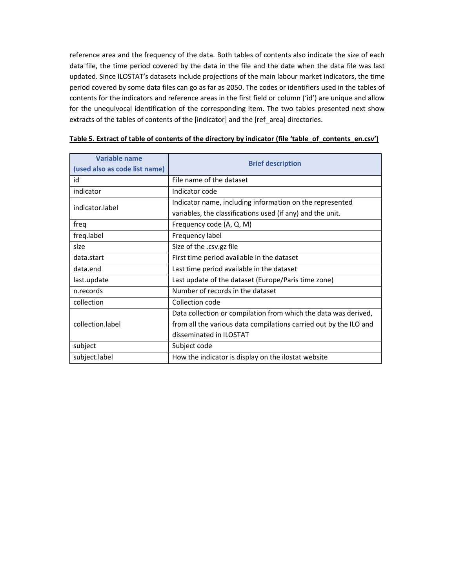reference area and the frequency of the data. Both tables of contents also indicate the size of each data file, the time period covered by the data in the file and the date when the data file was last updated. Since ILOSTAT's datasets include projections of the main labour market indicators, the time period covered by some data files can go as far as 2050. The codes or identifiers used in the tables of contents for the indicators and reference areas in the first field or column ('id') are unique and allow for the unequivocal identification of the corresponding item. The two tables presented next show extracts of the tables of contents of the [indicator] and the [ref area] directories.

| <b>Variable name</b><br>(used also as code list name) | <b>Brief description</b>                                          |
|-------------------------------------------------------|-------------------------------------------------------------------|
| id                                                    | File name of the dataset                                          |
| indicator                                             | Indicator code                                                    |
| indicator.label                                       | Indicator name, including information on the represented          |
|                                                       | variables, the classifications used (if any) and the unit.        |
| freq                                                  | Frequency code (A, Q, M)                                          |
| freq.label                                            | Frequency label                                                   |
| size                                                  | Size of the .csv.gz file                                          |
| data.start                                            | First time period available in the dataset                        |
| data.end                                              | Last time period available in the dataset                         |
| last.update                                           | Last update of the dataset (Europe/Paris time zone)               |
| n.records                                             | Number of records in the dataset                                  |
| collection                                            | Collection code                                                   |
|                                                       | Data collection or compilation from which the data was derived,   |
| collection.label                                      | from all the various data compilations carried out by the ILO and |
|                                                       | disseminated in ILOSTAT                                           |
| subject                                               | Subject code                                                      |
| subject.label                                         | How the indicator is display on the ilostat website               |

#### **Table 5. Extract of table of contents of the directory by indicator (file 'table\_of\_contents\_en.csv')**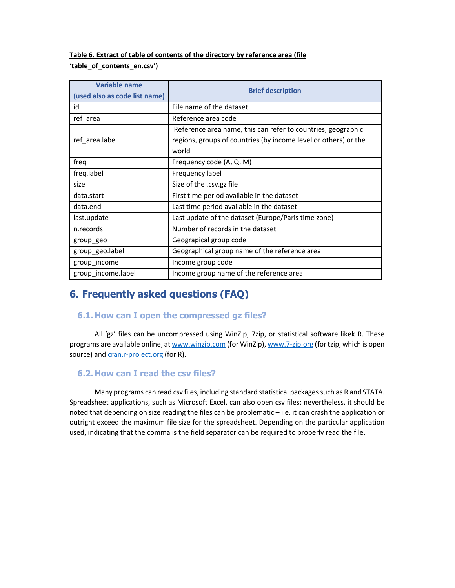## **Table 6. Extract of table of contents of the directory by reference area (file 'table\_of\_contents\_en.csv')**

| Variable name                 | <b>Brief description</b>                                        |  |
|-------------------------------|-----------------------------------------------------------------|--|
| (used also as code list name) |                                                                 |  |
| id                            | File name of the dataset                                        |  |
| ref_area                      | Reference area code                                             |  |
|                               | Reference area name, this can refer to countries, geographic    |  |
| ref area.label                | regions, groups of countries (by income level or others) or the |  |
|                               | world                                                           |  |
| freq                          | Frequency code (A, Q, M)                                        |  |
| freq.label                    | Frequency label                                                 |  |
| size                          | Size of the .csv.gz file                                        |  |
| data.start                    | First time period available in the dataset                      |  |
| data.end                      | Last time period available in the dataset                       |  |
| last.update                   | Last update of the dataset (Europe/Paris time zone)             |  |
| n.records                     | Number of records in the dataset                                |  |
| group geo                     | Geograpical group code                                          |  |
| group_geo.label               | Geographical group name of the reference area                   |  |
| group_income                  | Income group code                                               |  |
| group_income.label            | Income group name of the reference area                         |  |

# **6. Frequently asked questions (FAQ)**

## **6.1.How can I open the compressed gz files?**

 All 'gz' files can be uncompressed using WinZip, 7zip, or statistical software likek R. These programs are available online, at www.winzip.com (for WinZip), www.7-zip.org (for tzip, which is open source) and cran.r-project.org (for R).

# **6.2.How can I read the csv files?**

 Many programs can read csv files, including standard statistical packages such as R and STATA. Spreadsheet applications, such as Microsoft Excel, can also open csv files; nevertheless, it should be noted that depending on size reading the files can be problematic – i.e. it can crash the application or outright exceed the maximum file size for the spreadsheet. Depending on the particular application used, indicating that the comma is the field separator can be required to properly read the file.